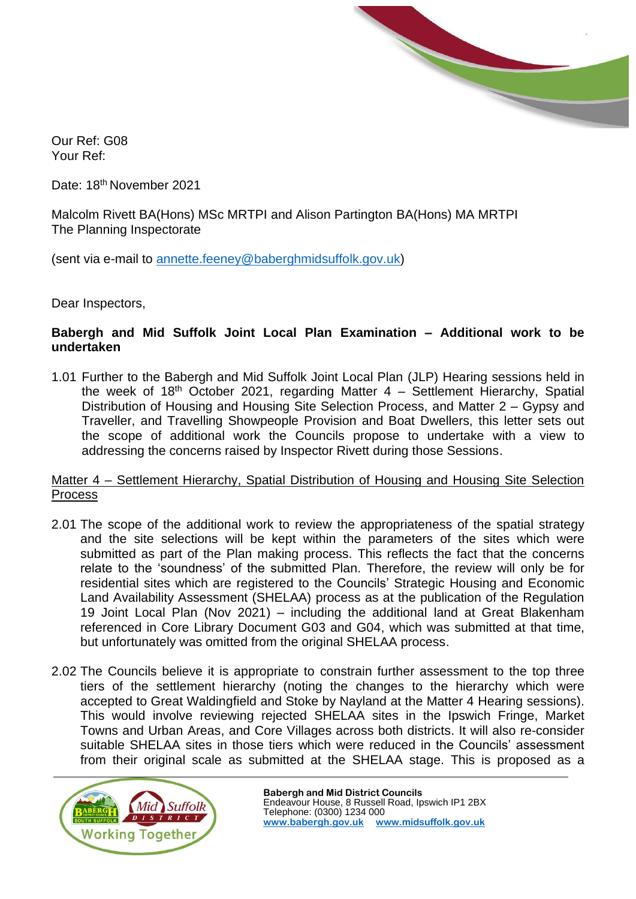

Our Ref: G08 Your Ref:

Date: 18<sup>th</sup> November 2021

Malcolm Rivett BA(Hons) MSc MRTPI and Alison Partington BA(Hons) MA MRTPI The Planning Inspectorate

(sent via e-mail to [annette.feeney@baberghmidsuffolk.gov.uk\)](mailto:annette.feeney@baberghmidsuffolk.gov.uk)

Dear Inspectors,

#### **Babergh and Mid Suffolk Joint Local Plan Examination – Additional work to be undertaken**

1.01 Further to the Babergh and Mid Suffolk Joint Local Plan (JLP) Hearing sessions held in the week of 18<sup>th</sup> October 2021, regarding Matter  $4$  – Settlement Hierarchy, Spatial Distribution of Housing and Housing Site Selection Process, and Matter 2 – Gypsy and Traveller, and Travelling Showpeople Provision and Boat Dwellers, this letter sets out the scope of additional work the Councils propose to undertake with a view to addressing the concerns raised by Inspector Rivett during those Sessions.

### Matter 4 – Settlement Hierarchy, Spatial Distribution of Housing and Housing Site Selection **Process**

- 2.01 The scope of the additional work to review the appropriateness of the spatial strategy and the site selections will be kept within the parameters of the sites which were submitted as part of the Plan making process. This reflects the fact that the concerns relate to the 'soundness' of the submitted Plan. Therefore, the review will only be for residential sites which are registered to the Councils' Strategic Housing and Economic Land Availability Assessment (SHELAA) process as at the publication of the Regulation 19 Joint Local Plan (Nov 2021) – including the additional land at Great Blakenham referenced in Core Library Document G03 and G04, which was submitted at that time, but unfortunately was omitted from the original SHELAA process.
- 2.02 The Councils believe it is appropriate to constrain further assessment to the top three tiers of the settlement hierarchy (noting the changes to the hierarchy which were accepted to Great Waldingfield and Stoke by Nayland at the Matter 4 Hearing sessions). This would involve reviewing rejected SHELAA sites in the Ipswich Fringe, Market Towns and Urban Areas, and Core Villages across both districts. It will also re-consider suitable SHELAA sites in those tiers which were reduced in the Councils' assessment from their original scale as submitted at the SHELAA stage. This is proposed as a

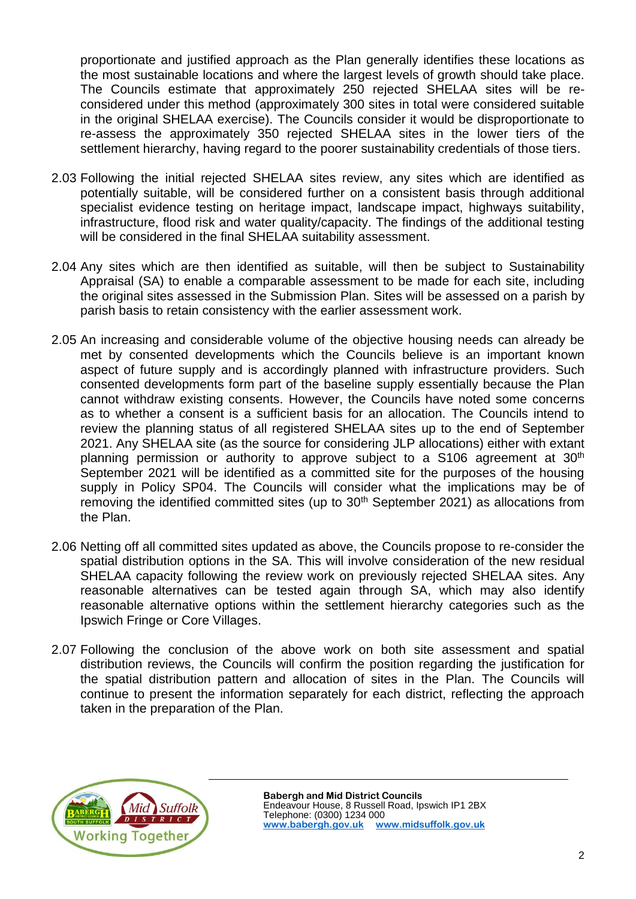proportionate and justified approach as the Plan generally identifies these locations as the most sustainable locations and where the largest levels of growth should take place. The Councils estimate that approximately 250 rejected SHELAA sites will be reconsidered under this method (approximately 300 sites in total were considered suitable in the original SHELAA exercise). The Councils consider it would be disproportionate to re-assess the approximately 350 rejected SHELAA sites in the lower tiers of the settlement hierarchy, having regard to the poorer sustainability credentials of those tiers.

- 2.03 Following the initial rejected SHELAA sites review, any sites which are identified as potentially suitable, will be considered further on a consistent basis through additional specialist evidence testing on heritage impact, landscape impact, highways suitability, infrastructure, flood risk and water quality/capacity. The findings of the additional testing will be considered in the final SHELAA suitability assessment.
- 2.04 Any sites which are then identified as suitable, will then be subject to Sustainability Appraisal (SA) to enable a comparable assessment to be made for each site, including the original sites assessed in the Submission Plan. Sites will be assessed on a parish by parish basis to retain consistency with the earlier assessment work.
- 2.05 An increasing and considerable volume of the objective housing needs can already be met by consented developments which the Councils believe is an important known aspect of future supply and is accordingly planned with infrastructure providers. Such consented developments form part of the baseline supply essentially because the Plan cannot withdraw existing consents. However, the Councils have noted some concerns as to whether a consent is a sufficient basis for an allocation. The Councils intend to review the planning status of all registered SHELAA sites up to the end of September 2021. Any SHELAA site (as the source for considering JLP allocations) either with extant planning permission or authority to approve subject to a S106 agreement at 30<sup>th</sup> September 2021 will be identified as a committed site for the purposes of the housing supply in Policy SP04. The Councils will consider what the implications may be of removing the identified committed sites (up to  $30<sup>th</sup>$  September 2021) as allocations from the Plan.
- 2.06 Netting off all committed sites updated as above, the Councils propose to re-consider the spatial distribution options in the SA. This will involve consideration of the new residual SHELAA capacity following the review work on previously rejected SHELAA sites. Any reasonable alternatives can be tested again through SA, which may also identify reasonable alternative options within the settlement hierarchy categories such as the Ipswich Fringe or Core Villages.
- 2.07 Following the conclusion of the above work on both site assessment and spatial distribution reviews, the Councils will confirm the position regarding the justification for the spatial distribution pattern and allocation of sites in the Plan. The Councils will continue to present the information separately for each district, reflecting the approach taken in the preparation of the Plan.

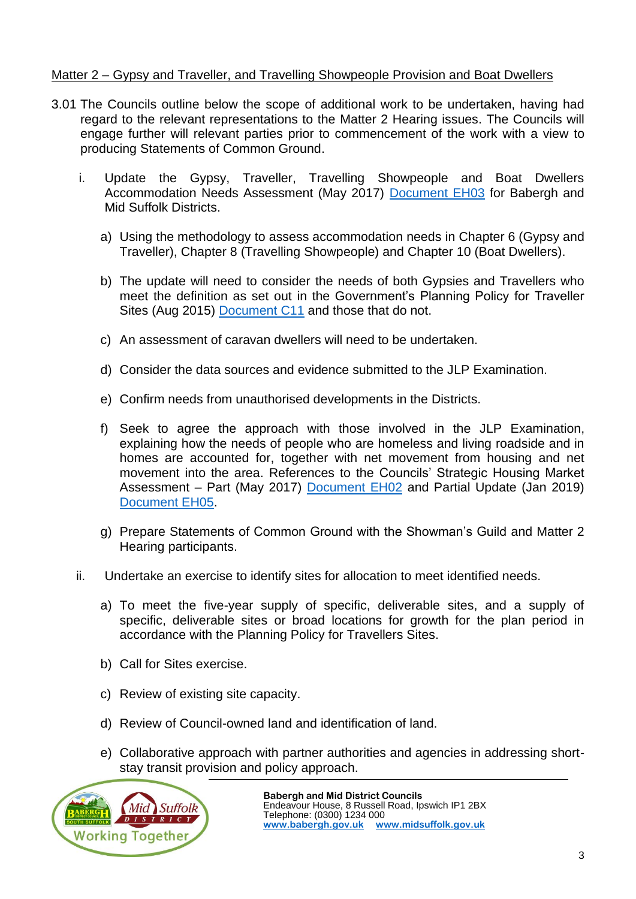# Matter 2 – Gypsy and Traveller, and Travelling Showpeople Provision and Boat Dwellers

- 3.01 The Councils outline below the scope of additional work to be undertaken, having had regard to the relevant representations to the Matter 2 Hearing issues. The Councils will engage further will relevant parties prior to commencement of the work with a view to producing Statements of Common Ground.
	- i. Update the Gypsy, Traveller, Travelling Showpeople and Boat Dwellers Accommodation Needs Assessment (May 2017) [Document EH03](https://www.midsuffolk.gov.uk/assets/Strategic-Planning/JLPExamination/CoreDocLibrary/E-EvidenceBase/Housing-EH/EH03-Final-ANA-Report-May-2017.pdf) for Babergh and Mid Suffolk Districts.
		- a) Using the methodology to assess accommodation needs in Chapter 6 (Gypsy and Traveller), Chapter 8 (Travelling Showpeople) and Chapter 10 (Boat Dwellers).
		- b) The update will need to consider the needs of both Gypsies and Travellers who meet the definition as set out in the Government's Planning Policy for Traveller Sites (Aug 2015) [Document C11](https://www.midsuffolk.gov.uk/assets/Strategic-Planning/JLPExamination/CoreDocLibrary/C-InternationalNationalDocs/C11-National-planning-policy-for-travellers-sites-Aug-2015.pdf) and those that do not.
		- c) An assessment of caravan dwellers will need to be undertaken.
		- d) Consider the data sources and evidence submitted to the JLP Examination.
		- e) Confirm needs from unauthorised developments in the Districts.
		- f) Seek to agree the approach with those involved in the JLP Examination, explaining how the needs of people who are homeless and living roadside and in homes are accounted for, together with net movement from housing and net movement into the area. References to the Councils' Strategic Housing Market Assessment – Part (May 2017) [Document EH02](https://www.midsuffolk.gov.uk/assets/Strategic-Planning/JLPExamination/CoreDocLibrary/E-EvidenceBase/Housing-EH/EH02-Ipswich-and-Waveney-Housing-Market-Areas-Strategic-Housing-Market-Assessment-Part-2-May-2017.pdf) and Partial Update (Jan 2019) [Document EH05.](https://www.babergh.gov.uk/assets/Strategic-Planning/JLPExamination/CoreDocLibrary/E-EvidenceBase/Housing-EH/EH05-SHMA-Part-2-update-2019.pdf)
		- g) Prepare Statements of Common Ground with the Showman's Guild and Matter 2 Hearing participants.
	- ii. Undertake an exercise to identify sites for allocation to meet identified needs.
		- a) To meet the five-year supply of specific, deliverable sites, and a supply of specific, deliverable sites or broad locations for growth for the plan period in accordance with the Planning Policy for Travellers Sites.
		- b) Call for Sites exercise.
		- c) Review of existing site capacity.
		- d) Review of Council-owned land and identification of land.
		- e) Collaborative approach with partner authorities and agencies in addressing shortstay transit provision and policy approach.

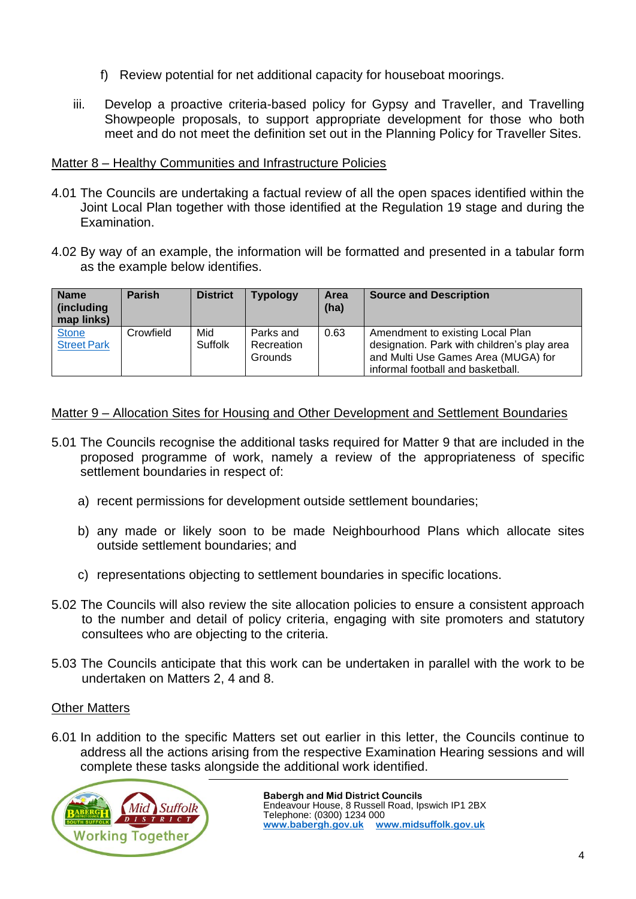- f) Review potential for net additional capacity for houseboat moorings.
- iii. Develop a proactive criteria-based policy for Gypsy and Traveller, and Travelling Showpeople proposals, to support appropriate development for those who both meet and do not meet the definition set out in the Planning Policy for Traveller Sites.

## Matter 8 – Healthy Communities and Infrastructure Policies

- 4.01 The Councils are undertaking a factual review of all the open spaces identified within the Joint Local Plan together with those identified at the Regulation 19 stage and during the Examination.
- 4.02 By way of an example, the information will be formatted and presented in a tabular form as the example below identifies.

| <b>Name</b><br>(including<br>map links) | <b>Parish</b> | <b>District</b> | <b>Typology</b>                    | Area<br>(ha) | <b>Source and Description</b>                                                                                                                               |
|-----------------------------------------|---------------|-----------------|------------------------------------|--------------|-------------------------------------------------------------------------------------------------------------------------------------------------------------|
| <b>Stone</b><br><b>Street Park</b>      | Crowfield     | Mid<br>Suffolk  | Parks and<br>Recreation<br>Grounds | 0.63         | Amendment to existing Local Plan<br>designation. Park with children's play area<br>and Multi Use Games Area (MUGA) for<br>informal football and basketball. |

### Matter 9 – Allocation Sites for Housing and Other Development and Settlement Boundaries

- 5.01 The Councils recognise the additional tasks required for Matter 9 that are included in the proposed programme of work, namely a review of the appropriateness of specific settlement boundaries in respect of:
	- a) recent permissions for development outside settlement boundaries;
	- b) any made or likely soon to be made Neighbourhood Plans which allocate sites outside settlement boundaries; and
	- c) representations objecting to settlement boundaries in specific locations.
- 5.02 The Councils will also review the site allocation policies to ensure a consistent approach to the number and detail of policy criteria, engaging with site promoters and statutory consultees who are objecting to the criteria.
- 5.03 The Councils anticipate that this work can be undertaken in parallel with the work to be undertaken on Matters 2, 4 and 8.

# Other Matters

6.01 In addition to the specific Matters set out earlier in this letter, the Councils continue to address all the actions arising from the respective Examination Hearing sessions and will complete these tasks alongside the additional work identified.

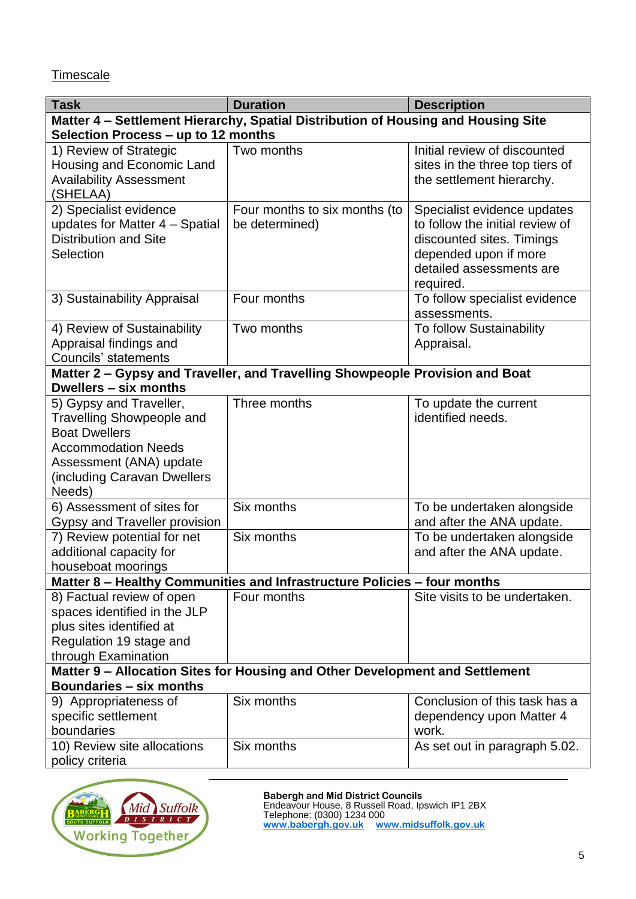**Timescale** 

| <b>Task</b>                                                                                                    | <b>Duration</b>               | <b>Description</b>                                |  |  |  |  |  |  |
|----------------------------------------------------------------------------------------------------------------|-------------------------------|---------------------------------------------------|--|--|--|--|--|--|
| Matter 4 - Settlement Hierarchy, Spatial Distribution of Housing and Housing Site                              |                               |                                                   |  |  |  |  |  |  |
| Selection Process - up to 12 months                                                                            |                               |                                                   |  |  |  |  |  |  |
| 1) Review of Strategic                                                                                         | Two months                    | Initial review of discounted                      |  |  |  |  |  |  |
| Housing and Economic Land                                                                                      |                               | sites in the three top tiers of                   |  |  |  |  |  |  |
| <b>Availability Assessment</b>                                                                                 |                               | the settlement hierarchy.                         |  |  |  |  |  |  |
| (SHELAA)                                                                                                       |                               |                                                   |  |  |  |  |  |  |
| 2) Specialist evidence                                                                                         | Four months to six months (to | Specialist evidence updates                       |  |  |  |  |  |  |
| updates for Matter 4 - Spatial                                                                                 | be determined)                | to follow the initial review of                   |  |  |  |  |  |  |
| <b>Distribution and Site</b>                                                                                   |                               | discounted sites. Timings                         |  |  |  |  |  |  |
| Selection                                                                                                      |                               | depended upon if more<br>detailed assessments are |  |  |  |  |  |  |
|                                                                                                                |                               | required.                                         |  |  |  |  |  |  |
| 3) Sustainability Appraisal                                                                                    | Four months                   | To follow specialist evidence                     |  |  |  |  |  |  |
|                                                                                                                |                               | assessments.                                      |  |  |  |  |  |  |
| 4) Review of Sustainability                                                                                    | Two months                    | To follow Sustainability                          |  |  |  |  |  |  |
| Appraisal findings and                                                                                         |                               | Appraisal.                                        |  |  |  |  |  |  |
| <b>Councils' statements</b>                                                                                    |                               |                                                   |  |  |  |  |  |  |
| Matter 2 - Gypsy and Traveller, and Travelling Showpeople Provision and Boat                                   |                               |                                                   |  |  |  |  |  |  |
| Dwellers - six months                                                                                          |                               |                                                   |  |  |  |  |  |  |
| 5) Gypsy and Traveller,                                                                                        | Three months                  | To update the current                             |  |  |  |  |  |  |
| <b>Travelling Showpeople and</b>                                                                               |                               | identified needs.                                 |  |  |  |  |  |  |
| <b>Boat Dwellers</b>                                                                                           |                               |                                                   |  |  |  |  |  |  |
| <b>Accommodation Needs</b>                                                                                     |                               |                                                   |  |  |  |  |  |  |
| Assessment (ANA) update<br>(including Caravan Dwellers)                                                        |                               |                                                   |  |  |  |  |  |  |
| Needs)                                                                                                         |                               |                                                   |  |  |  |  |  |  |
| 6) Assessment of sites for                                                                                     | Six months                    | To be undertaken alongside                        |  |  |  |  |  |  |
| <b>Gypsy and Traveller provision</b>                                                                           |                               | and after the ANA update.                         |  |  |  |  |  |  |
| 7) Review potential for net                                                                                    | Six months                    | To be undertaken alongside                        |  |  |  |  |  |  |
| additional capacity for                                                                                        |                               | and after the ANA update.                         |  |  |  |  |  |  |
| houseboat moorings                                                                                             |                               |                                                   |  |  |  |  |  |  |
| Matter 8 - Healthy Communities and Infrastructure Policies - four months                                       |                               |                                                   |  |  |  |  |  |  |
| 8) Factual review of open                                                                                      | Four months                   | Site visits to be undertaken.                     |  |  |  |  |  |  |
| spaces identified in the JLP                                                                                   |                               |                                                   |  |  |  |  |  |  |
| plus sites identified at                                                                                       |                               |                                                   |  |  |  |  |  |  |
| Regulation 19 stage and                                                                                        |                               |                                                   |  |  |  |  |  |  |
| through Examination                                                                                            |                               |                                                   |  |  |  |  |  |  |
| Matter 9 - Allocation Sites for Housing and Other Development and Settlement<br><b>Boundaries - six months</b> |                               |                                                   |  |  |  |  |  |  |
| 9) Appropriateness of                                                                                          | Six months                    | Conclusion of this task has a                     |  |  |  |  |  |  |
| specific settlement                                                                                            |                               | dependency upon Matter 4                          |  |  |  |  |  |  |
| boundaries                                                                                                     |                               | work.                                             |  |  |  |  |  |  |
| 10) Review site allocations                                                                                    | Six months                    | As set out in paragraph 5.02.                     |  |  |  |  |  |  |
| policy criteria                                                                                                |                               |                                                   |  |  |  |  |  |  |



**Babergh and Mid District Councils** Endeavour House, 8 Russell Road, Ipswich IP1 2BX

Telephone: (0300) 1234 000 **[www.babergh.gov.uk](http://www.babergh.gov.uk/) [www.midsuffolk.gov.uk](http://www.midsuffolk.gov.uk/)**